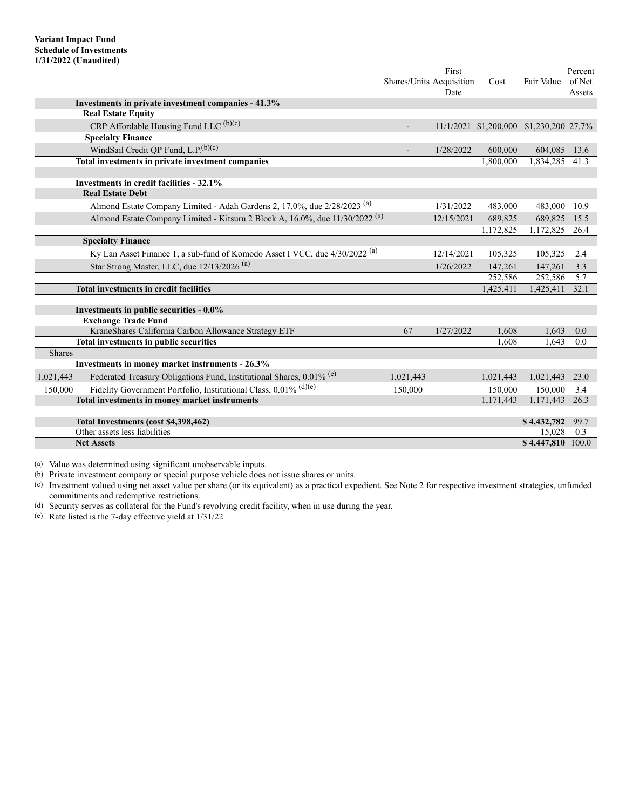|               |                                                                                         |                          | First      |           |                                         | Percent |
|---------------|-----------------------------------------------------------------------------------------|--------------------------|------------|-----------|-----------------------------------------|---------|
|               |                                                                                         | Shares/Units Acquisition |            | Cost      | Fair Value                              | of Net  |
|               |                                                                                         |                          | Date       |           |                                         | Assets  |
|               | Investments in private investment companies - 41.3%                                     |                          |            |           |                                         |         |
|               | <b>Real Estate Equity</b>                                                               |                          |            |           |                                         |         |
|               | CRP Affordable Housing Fund LLC (b)(c)                                                  |                          |            |           | 11/1/2021 \$1,200,000 \$1,230,200 27.7% |         |
|               | <b>Specialty Finance</b>                                                                |                          |            |           |                                         |         |
|               | WindSail Credit QP Fund, L.P. <sup>(b)(c)</sup>                                         |                          | 1/28/2022  | 600,000   | 604,085                                 | 13.6    |
|               | Total investments in private investment companies                                       |                          |            | 1,800,000 | 1,834,285                               | 41.3    |
|               |                                                                                         |                          |            |           |                                         |         |
|               | Investments in credit facilities - 32.1%                                                |                          |            |           |                                         |         |
|               | <b>Real Estate Debt</b>                                                                 |                          |            |           |                                         |         |
|               | Almond Estate Company Limited - Adah Gardens 2, 17.0%, due 2/28/2023 <sup>(a)</sup>     |                          | 1/31/2022  | 483,000   | 483,000                                 | 10.9    |
|               | Almond Estate Company Limited - Kitsuru 2 Block A, 16.0%, due 11/30/2022 <sup>(a)</sup> |                          | 12/15/2021 | 689,825   | 689,825                                 | 15.5    |
|               |                                                                                         |                          |            | 1,172,825 | 1,172,825                               | 26.4    |
|               | <b>Specialty Finance</b>                                                                |                          |            |           |                                         |         |
|               | Ky Lan Asset Finance 1, a sub-fund of Komodo Asset I VCC, due 4/30/2022 <sup>(a)</sup>  |                          | 12/14/2021 | 105,325   | 105,325                                 | 2.4     |
|               | Star Strong Master, LLC, due 12/13/2026 <sup>(a)</sup>                                  |                          | 1/26/2022  | 147,261   | 147,261                                 | 3.3     |
|               |                                                                                         |                          |            | 252,586   | 252,586                                 | 5.7     |
|               | <b>Total investments in credit facilities</b>                                           |                          |            | 1,425,411 | 1,425,411                               | 32.1    |
|               |                                                                                         |                          |            |           |                                         |         |
|               | Investments in public securities - 0.0%                                                 |                          |            |           |                                         |         |
|               | <b>Exchange Trade Fund</b>                                                              |                          |            |           |                                         |         |
|               | KraneShares California Carbon Allowance Strategy ETF                                    | 67                       | 1/27/2022  | 1.608     | 1.643                                   | 0.0     |
| <b>Shares</b> | Total investments in public securities                                                  |                          |            | 1.608     | 1.643                                   | 0.0     |
|               | Investments in money market instruments - 26.3%                                         |                          |            |           |                                         |         |
|               |                                                                                         |                          |            |           |                                         |         |
| 1,021,443     | Federated Treasury Obligations Fund, Institutional Shares, 0.01% <sup>(e)</sup>         | 1,021,443                |            | 1,021,443 | 1,021,443                               | 23.0    |
| 150,000       | Fidelity Government Portfolio, Institutional Class, $0.01\%$ (d)(e)                     | 150,000                  |            | 150,000   | 150,000                                 | 3.4     |
|               | Total investments in money market instruments                                           |                          |            | 1,171,443 | 1,171,443                               | 26.3    |
|               | Total Investments (cost \$4,398,462)                                                    |                          |            |           | \$4,432,782                             | 99.7    |
|               | Other assets less liabilities                                                           |                          |            |           | 15,028                                  | 0.3     |
|               | <b>Net Assets</b>                                                                       |                          |            |           | \$4,447,810 100.0                       |         |
|               |                                                                                         |                          |            |           |                                         |         |

(a) Value was determined using significant unobservable inputs.

(b) Private investment company or special purpose vehicle does not issue shares or units.

(c) Investment valued using net asset value per share (or its equivalent) as a practical expedient. See Note 2 for respective investment strategies, unfunded commitments and redemptive restrictions.

(d) Security serves as collateral for the Fund's revolving credit facility, when in use during the year.

(e) Rate listed is the 7-day effective yield at 1/31/22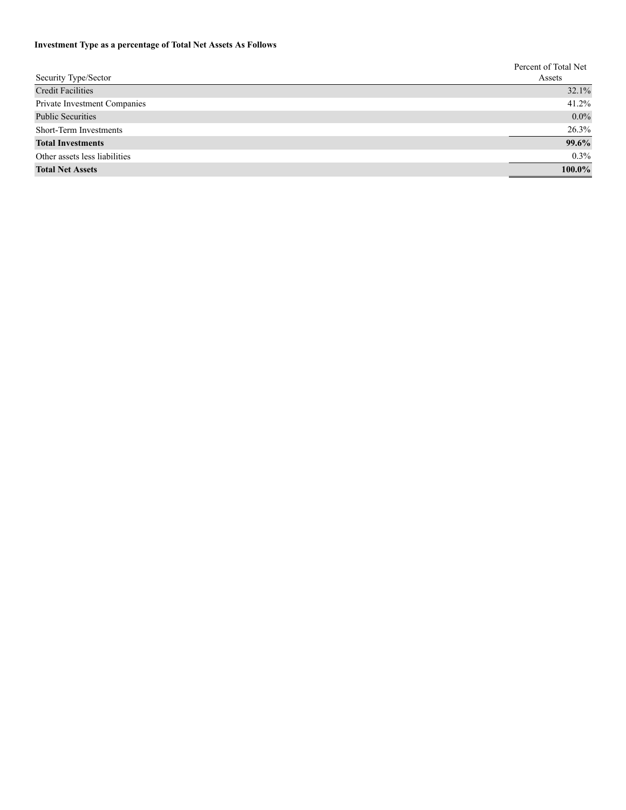# **Investment Type as a percentage of Total Net Assets As Follows**

|                               | Percent of Total Net |
|-------------------------------|----------------------|
| Security Type/Sector          | Assets               |
| <b>Credit Facilities</b>      | 32.1%                |
| Private Investment Companies  | 41.2%                |
| <b>Public Securities</b>      | $0.0\%$              |
| Short-Term Investments        | 26.3%                |
| <b>Total Investments</b>      | 99.6%                |
| Other assets less liabilities | $0.3\%$              |
| <b>Total Net Assets</b>       | 100.0%               |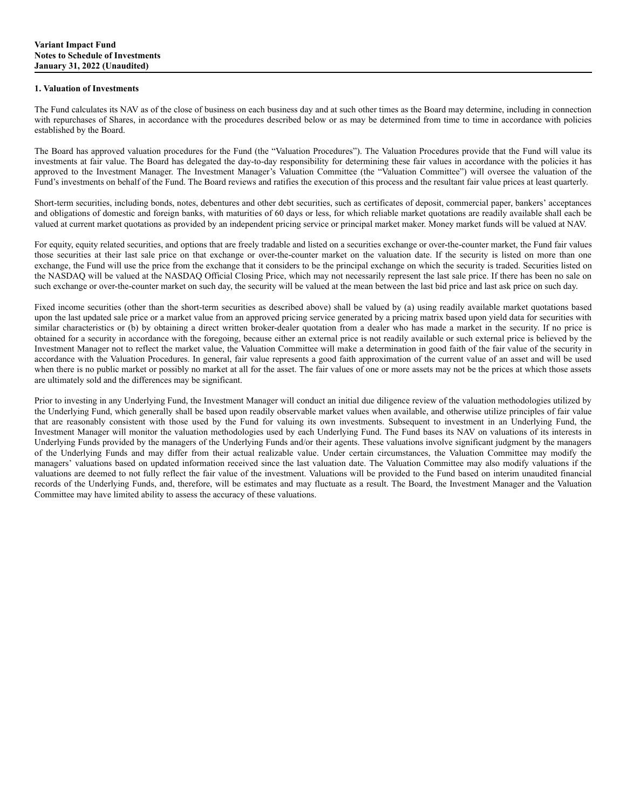### **1. Valuation of Investments**

The Fund calculates its NAV as of the close of business on each business day and at such other times as the Board may determine, including in connection with repurchases of Shares, in accordance with the procedures described below or as may be determined from time to time in accordance with policies established by the Board.

The Board has approved valuation procedures for the Fund (the "Valuation Procedures"). The Valuation Procedures provide that the Fund will value its investments at fair value. The Board has delegated the day-to-day responsibility for determining these fair values in accordance with the policies it has approved to the Investment Manager. The Investment Manager's Valuation Committee (the "Valuation Committee") will oversee the valuation of the Fund's investments on behalf of the Fund. The Board reviews and ratifies the execution of this process and the resultant fair value prices at least quarterly.

Short-term securities, including bonds, notes, debentures and other debt securities, such as certificates of deposit, commercial paper, bankers' acceptances and obligations of domestic and foreign banks, with maturities of 60 days or less, for which reliable market quotations are readily available shall each be valued at current market quotations as provided by an independent pricing service or principal market maker. Money market funds will be valued at NAV.

For equity, equity related securities, and options that are freely tradable and listed on a securities exchange or over-the-counter market, the Fund fair values those securities at their last sale price on that exchange or over-the-counter market on the valuation date. If the security is listed on more than one exchange, the Fund will use the price from the exchange that it considers to be the principal exchange on which the security is traded. Securities listed on the NASDAQ will be valued at the NASDAQ Official Closing Price, which may not necessarily represent the last sale price. If there has been no sale on such exchange or over-the-counter market on such day, the security will be valued at the mean between the last bid price and last ask price on such day.

Fixed income securities (other than the short-term securities as described above) shall be valued by (a) using readily available market quotations based upon the last updated sale price or a market value from an approved pricing service generated by a pricing matrix based upon yield data for securities with similar characteristics or (b) by obtaining a direct written broker-dealer quotation from a dealer who has made a market in the security. If no price is obtained for a security in accordance with the foregoing, because either an external price is not readily available or such external price is believed by the Investment Manager not to reflect the market value, the Valuation Committee will make a determination in good faith of the fair value of the security in accordance with the Valuation Procedures. In general, fair value represents a good faith approximation of the current value of an asset and will be used when there is no public market or possibly no market at all for the asset. The fair values of one or more assets may not be the prices at which those assets are ultimately sold and the differences may be significant.

Prior to investing in any Underlying Fund, the Investment Manager will conduct an initial due diligence review of the valuation methodologies utilized by the Underlying Fund, which generally shall be based upon readily observable market values when available, and otherwise utilize principles of fair value that are reasonably consistent with those used by the Fund for valuing its own investments. Subsequent to investment in an Underlying Fund, the Investment Manager will monitor the valuation methodologies used by each Underlying Fund. The Fund bases its NAV on valuations of its interests in Underlying Funds provided by the managers of the Underlying Funds and/or their agents. These valuations involve significant judgment by the managers of the Underlying Funds and may differ from their actual realizable value. Under certain circumstances, the Valuation Committee may modify the managers' valuations based on updated information received since the last valuation date. The Valuation Committee may also modify valuations if the valuations are deemed to not fully reflect the fair value of the investment. Valuations will be provided to the Fund based on interim unaudited financial records of the Underlying Funds, and, therefore, will be estimates and may fluctuate as a result. The Board, the Investment Manager and the Valuation Committee may have limited ability to assess the accuracy of these valuations.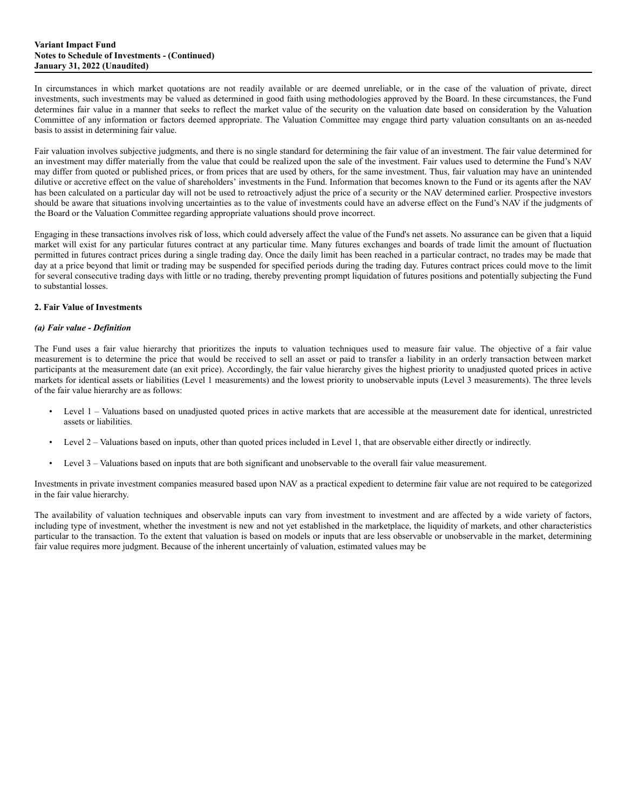#### **Variant Impact Fund Notes to Schedule of Investments - (Continued) January 31, 2022 (Unaudited)**

In circumstances in which market quotations are not readily available or are deemed unreliable, or in the case of the valuation of private, direct investments, such investments may be valued as determined in good faith using methodologies approved by the Board. In these circumstances, the Fund determines fair value in a manner that seeks to reflect the market value of the security on the valuation date based on consideration by the Valuation Committee of any information or factors deemed appropriate. The Valuation Committee may engage third party valuation consultants on an as-needed basis to assist in determining fair value.

Fair valuation involves subjective judgments, and there is no single standard for determining the fair value of an investment. The fair value determined for an investment may differ materially from the value that could be realized upon the sale of the investment. Fair values used to determine the Fund's NAV may differ from quoted or published prices, or from prices that are used by others, for the same investment. Thus, fair valuation may have an unintended dilutive or accretive effect on the value of shareholders' investments in the Fund. Information that becomes known to the Fund or its agents after the NAV has been calculated on a particular day will not be used to retroactively adjust the price of a security or the NAV determined earlier. Prospective investors should be aware that situations involving uncertainties as to the value of investments could have an adverse effect on the Fund's NAV if the judgments of the Board or the Valuation Committee regarding appropriate valuations should prove incorrect.

Engaging in these transactions involves risk of loss, which could adversely affect the value of the Fund's net assets. No assurance can be given that a liquid market will exist for any particular futures contract at any particular time. Many futures exchanges and boards of trade limit the amount of fluctuation permitted in futures contract prices during a single trading day. Once the daily limit has been reached in a particular contract, no trades may be made that day at a price beyond that limit or trading may be suspended for specified periods during the trading day. Futures contract prices could move to the limit for several consecutive trading days with little or no trading, thereby preventing prompt liquidation of futures positions and potentially subjecting the Fund to substantial losses.

### **2. Fair Value of Investments**

# *(a) Fair value - Definition*

The Fund uses a fair value hierarchy that prioritizes the inputs to valuation techniques used to measure fair value. The objective of a fair value measurement is to determine the price that would be received to sell an asset or paid to transfer a liability in an orderly transaction between market participants at the measurement date (an exit price). Accordingly, the fair value hierarchy gives the highest priority to unadjusted quoted prices in active markets for identical assets or liabilities (Level 1 measurements) and the lowest priority to unobservable inputs (Level 3 measurements). The three levels of the fair value hierarchy are as follows:

- Level 1 Valuations based on unadjusted quoted prices in active markets that are accessible at the measurement date for identical, unrestricted assets or liabilities.
- Level 2 Valuations based on inputs, other than quoted prices included in Level 1, that are observable either directly or indirectly.
- Level 3 Valuations based on inputs that are both significant and unobservable to the overall fair value measurement.

Investments in private investment companies measured based upon NAV as a practical expedient to determine fair value are not required to be categorized in the fair value hierarchy.

The availability of valuation techniques and observable inputs can vary from investment to investment and are affected by a wide variety of factors, including type of investment, whether the investment is new and not yet established in the marketplace, the liquidity of markets, and other characteristics particular to the transaction. To the extent that valuation is based on models or inputs that are less observable or unobservable in the market, determining fair value requires more judgment. Because of the inherent uncertainly of valuation, estimated values may be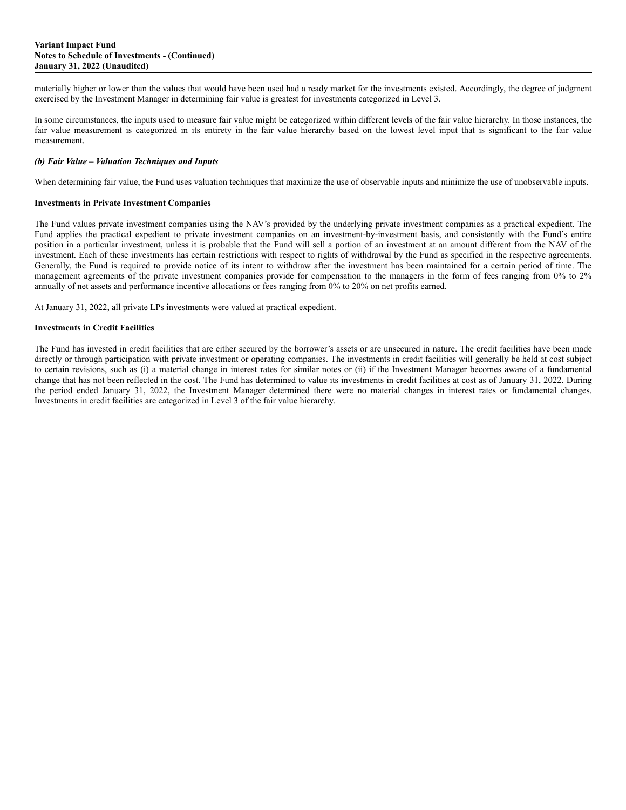materially higher or lower than the values that would have been used had a ready market for the investments existed. Accordingly, the degree of judgment exercised by the Investment Manager in determining fair value is greatest for investments categorized in Level 3.

In some circumstances, the inputs used to measure fair value might be categorized within different levels of the fair value hierarchy. In those instances, the fair value measurement is categorized in its entirety in the fair value hierarchy based on the lowest level input that is significant to the fair value measurement.

### *(b) Fair Value – Valuation Techniques and Inputs*

When determining fair value, the Fund uses valuation techniques that maximize the use of observable inputs and minimize the use of unobservable inputs.

## **Investments in Private Investment Companies**

The Fund values private investment companies using the NAV's provided by the underlying private investment companies as a practical expedient. The Fund applies the practical expedient to private investment companies on an investment-by-investment basis, and consistently with the Fund's entire position in a particular investment, unless it is probable that the Fund will sell a portion of an investment at an amount different from the NAV of the investment. Each of these investments has certain restrictions with respect to rights of withdrawal by the Fund as specified in the respective agreements. Generally, the Fund is required to provide notice of its intent to withdraw after the investment has been maintained for a certain period of time. The management agreements of the private investment companies provide for compensation to the managers in the form of fees ranging from 0% to 2% annually of net assets and performance incentive allocations or fees ranging from 0% to 20% on net profits earned.

At January 31, 2022, all private LPs investments were valued at practical expedient.

# **Investments in Credit Facilities**

The Fund has invested in credit facilities that are either secured by the borrower's assets or are unsecured in nature. The credit facilities have been made directly or through participation with private investment or operating companies. The investments in credit facilities will generally be held at cost subject to certain revisions, such as (i) a material change in interest rates for similar notes or (ii) if the Investment Manager becomes aware of a fundamental change that has not been reflected in the cost. The Fund has determined to value its investments in credit facilities at cost as of January 31, 2022. During the period ended January 31, 2022, the Investment Manager determined there were no material changes in interest rates or fundamental changes. Investments in credit facilities are categorized in Level 3 of the fair value hierarchy.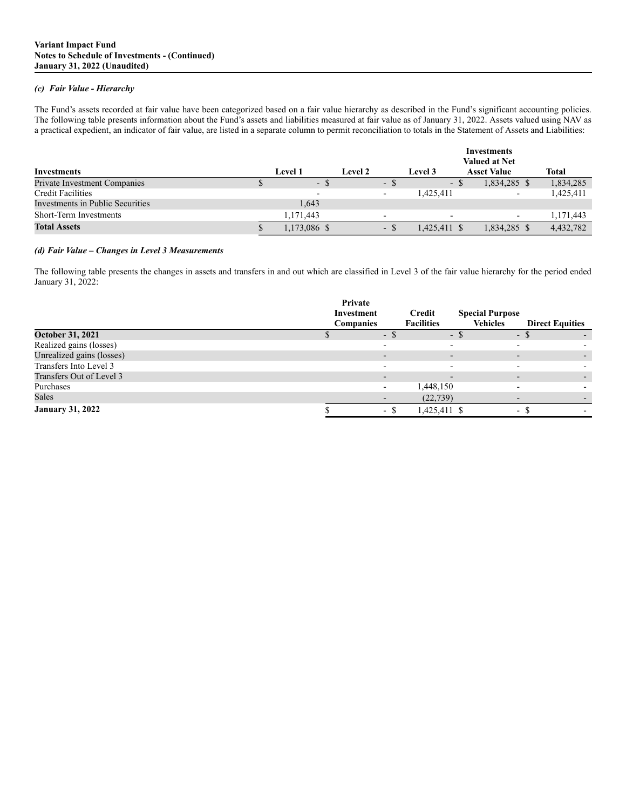## *(c) Fair Value - Hierarchy*

The Fund's assets recorded at fair value have been categorized based on a fair value hierarchy as described in the Fund's significant accounting policies. The following table presents information about the Fund's assets and liabilities measured at fair value as of January 31, 2022. Assets valued using NAV as a practical expedient, an indicator of fair value, are listed in a separate column to permit reconciliation to totals in the Statement of Assets and Liabilities:

|                                  |                |         |      |                          | <b>Investments</b><br><b>Valued at Net</b> |           |
|----------------------------------|----------------|---------|------|--------------------------|--------------------------------------------|-----------|
| Investments                      | <b>Level 1</b> | Level 2 |      | <b>Level 3</b>           | <b>Asset Value</b>                         | Total     |
| Private Investment Companies     | $\sim$         |         | ۰.   | - ക                      | 1,834,285 \$                               | 1,834,285 |
| <b>Credit Facilities</b>         |                |         |      | 1,425,411                | $\overline{\phantom{0}}$                   | 1,425,411 |
| Investments in Public Securities | 1,643          |         |      |                          |                                            |           |
| Short-Term Investments           | 1.171.443      |         |      | $\overline{\phantom{0}}$ | $\overline{\phantom{0}}$                   | 1,171,443 |
| <b>Total Assets</b>              | 1,173,086 \$   |         | - \$ | 1,425,411 \$             | 1,834,285 \$                               | 4,432,782 |

### *(d) Fair Value – Changes in Level 3 Measurements*

The following table presents the changes in assets and transfers in and out which are classified in Level 3 of the fair value hierarchy for the period ended January 31, 2022:

|                           | Private          |      |                          |                        |                        |  |
|---------------------------|------------------|------|--------------------------|------------------------|------------------------|--|
|                           | Investment       |      | Credit                   | <b>Special Purpose</b> |                        |  |
|                           | <b>Companies</b> |      | <b>Facilities</b>        | <b>Vehicles</b>        | <b>Direct Equities</b> |  |
| <b>October 31, 2021</b>   |                  | - \$ | $\overline{\phantom{0}}$ |                        | - 5                    |  |
| Realized gains (losses)   |                  |      |                          |                        |                        |  |
| Unrealized gains (losses) |                  |      |                          |                        |                        |  |
| Transfers Into Level 3    |                  |      |                          |                        |                        |  |
| Transfers Out of Level 3  |                  |      |                          |                        |                        |  |
| Purchases                 |                  |      | 1,448,150                |                        |                        |  |
| Sales                     |                  |      | (22, 739)                |                        |                        |  |
| <b>January 31, 2022</b>   |                  | - S  | 1,425,411 \$             |                        | - 5                    |  |